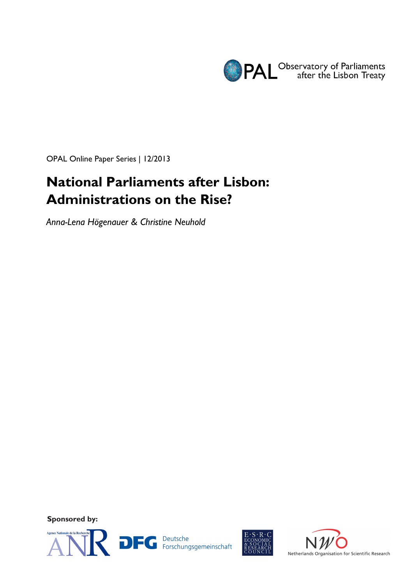

OPAL Online Paper Series | 12/2013

# **National Parliaments after Lisbon: Administrations on the Rise?**

*Anna-Lena Högenauer & Christine Neuhold* 

**Sponsored by:** 





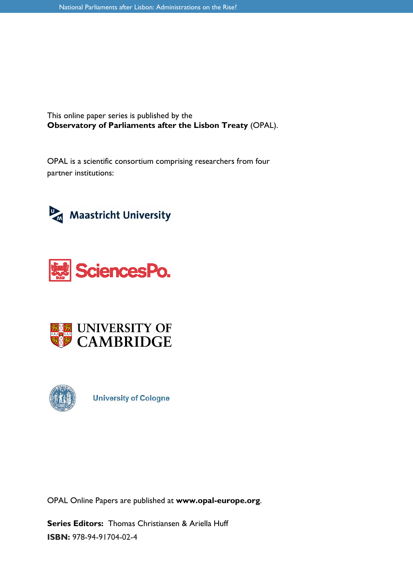This online paper series is published by the **Observatory of Parliaments after the Lisbon Treaty** (OPAL).

OPAL is a scientific consortium comprising researchers from four partner institutions:









**University of Cologne** 

OPAL Online Papers are published at **www.opal-europe.org**.

**Series Editors:** Thomas Christiansen & Ariella Huff **ISBN:** 978-94-91704-02-4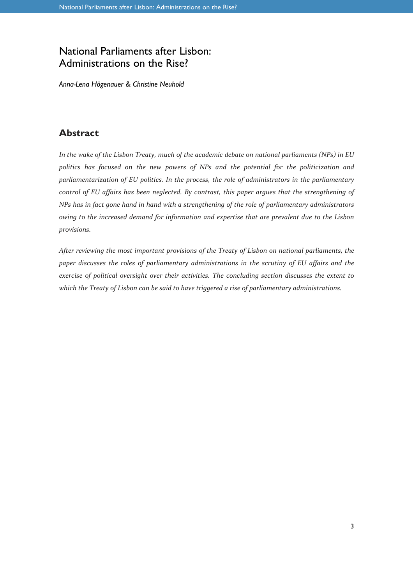# National Parliaments after Lisbon: Administrations on the Rise?

*Anna-Lena Högenauer & Christine Neuhold* 

# **Abstract**

*In the wake of the Lisbon Treaty, much of the academic debate on national parliaments (NPs) in EU politics has focused on the new powers of NPs and the potential for the politicization and parliamentarization of EU politics. In the process, the role of administrators in the parliamentary control of EU affairs has been neglected. By contrast, this paper argues that the strengthening of NPs has in fact gone hand in hand with a strengthening of the role of parliamentary administrators owing to the increased demand for information and expertise that are prevalent due to the Lisbon provisions.* 

*After reviewing the most important provisions of the Treaty of Lisbon on national parliaments, the paper discusses the roles of parliamentary administrations in the scrutiny of EU affairs and the exercise of political oversight over their activities. The concluding section discusses the extent to which the Treaty of Lisbon can be said to have triggered a rise of parliamentary administrations.*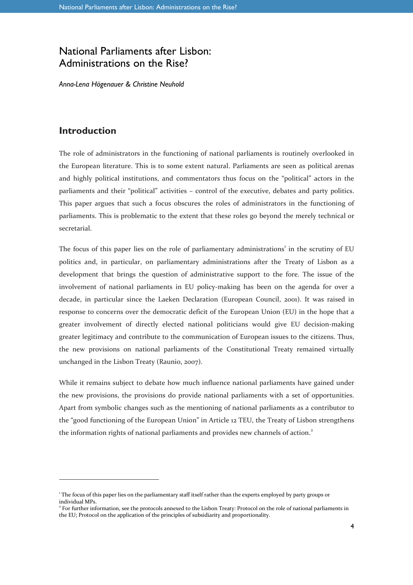# National Parliaments after Lisbon: Administrations on the Rise?

*Anna-Lena Högenauer & Christine Neuhold* 

## **Introduction**

l

The role of administrators in the functioning of national parliaments is routinely overlooked in the European literature. This is to some extent natural. Parliaments are seen as political arenas and highly political institutions, and commentators thus focus on the "political" actors in the parliaments and their "political" activities – control of the executive, debates and party politics. This paper argues that such a focus obscures the roles of administrators in the functioning of parliaments. This is problematic to the extent that these roles go beyond the merely technical or secretarial.

The focus of this paper lies on the role of parliamentary administrations<sup>1</sup> in the scrutiny of EU politics and, in particular, on parliamentary administrations after the Treaty of Lisbon as a development that brings the question of administrative support to the fore. The issue of the involvement of national parliaments in EU policy-making has been on the agenda for over a decade, in particular since the Laeken Declaration (European Council, 2001). It was raised in response to concerns over the democratic deficit of the European Union (EU) in the hope that a greater involvement of directly elected national politicians would give EU decision-making greater legitimacy and contribute to the communication of European issues to the citizens. Thus, the new provisions on national parliaments of the Constitutional Treaty remained virtually unchanged in the Lisbon Treaty (Raunio, 2007).

While it remains subject to debate how much influence national parliaments have gained under the new provisions, the provisions do provide national parliaments with a set of opportunities. Apart from symbolic changes such as the mentioning of national parliaments as a contributor to the "good functioning of the European Union" in Article 12 TEU, the Treaty of Lisbon strengthens the information rights of national parliaments and provides new channels of action.<sup>2</sup>

<sup>1</sup> The focus of this paper lies on the parliamentary staff itself rather than the experts employed by party groups or individual MPs.

<sup>&</sup>lt;sup>2</sup> For further information, see the protocols annexed to the Lisbon Treaty: Protocol on the role of national parliaments in the EU; Protocol on the application of the principles of subsidiarity and proportionality.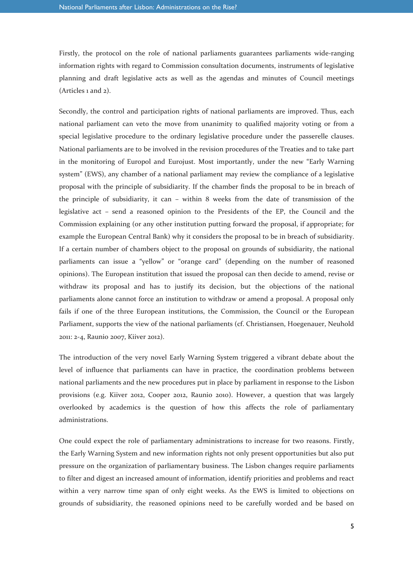Firstly, the protocol on the role of national parliaments guarantees parliaments wide-ranging information rights with regard to Commission consultation documents, instruments of legislative planning and draft legislative acts as well as the agendas and minutes of Council meetings (Articles 1 and 2).

Secondly, the control and participation rights of national parliaments are improved. Thus, each national parliament can veto the move from unanimity to qualified majority voting or from a special legislative procedure to the ordinary legislative procedure under the passerelle clauses. National parliaments are to be involved in the revision procedures of the Treaties and to take part in the monitoring of Europol and Eurojust. Most importantly, under the new "Early Warning system" (EWS), any chamber of a national parliament may review the compliance of a legislative proposal with the principle of subsidiarity. If the chamber finds the proposal to be in breach of the principle of subsidiarity, it can – within 8 weeks from the date of transmission of the legislative act – send a reasoned opinion to the Presidents of the EP, the Council and the Commission explaining (or any other institution putting forward the proposal, if appropriate; for example the European Central Bank) why it considers the proposal to be in breach of subsidiarity. If a certain number of chambers object to the proposal on grounds of subsidiarity, the national parliaments can issue a "yellow" or "orange card" (depending on the number of reasoned opinions). The European institution that issued the proposal can then decide to amend, revise or withdraw its proposal and has to justify its decision, but the objections of the national parliaments alone cannot force an institution to withdraw or amend a proposal. A proposal only fails if one of the three European institutions, the Commission, the Council or the European Parliament, supports the view of the national parliaments (cf. Christiansen, Hoegenauer, Neuhold 2011: 2-4, Raunio 2007, Kiiver 2012).

The introduction of the very novel Early Warning System triggered a vibrant debate about the level of influence that parliaments can have in practice, the coordination problems between national parliaments and the new procedures put in place by parliament in response to the Lisbon provisions (e.g. Kiiver 2012, Cooper 2012, Raunio 2010). However, a question that was largely overlooked by academics is the question of how this affects the role of parliamentary administrations.

One could expect the role of parliamentary administrations to increase for two reasons. Firstly, the Early Warning System and new information rights not only present opportunities but also put pressure on the organization of parliamentary business. The Lisbon changes require parliaments to filter and digest an increased amount of information, identify priorities and problems and react within a very narrow time span of only eight weeks. As the EWS is limited to objections on grounds of subsidiarity, the reasoned opinions need to be carefully worded and be based on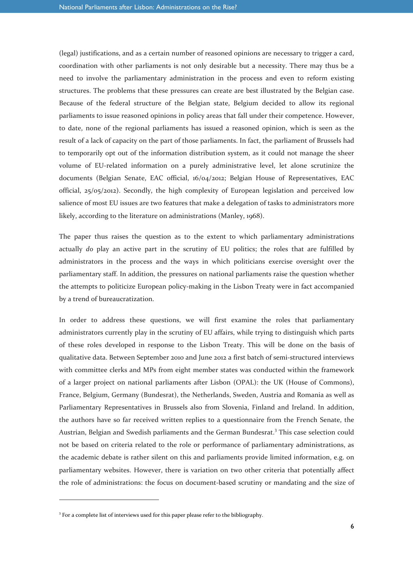(legal) justifications, and as a certain number of reasoned opinions are necessary to trigger a card, coordination with other parliaments is not only desirable but a necessity. There may thus be a need to involve the parliamentary administration in the process and even to reform existing structures. The problems that these pressures can create are best illustrated by the Belgian case. Because of the federal structure of the Belgian state, Belgium decided to allow its regional parliaments to issue reasoned opinions in policy areas that fall under their competence. However, to date, none of the regional parliaments has issued a reasoned opinion, which is seen as the result of a lack of capacity on the part of those parliaments. In fact, the parliament of Brussels had to temporarily opt out of the information distribution system, as it could not manage the sheer volume of EU-related information on a purely administrative level, let alone scrutinize the documents (Belgian Senate, EAC official, 16/04/2012; Belgian House of Representatives, EAC official, 25/05/2012). Secondly, the high complexity of European legislation and perceived low salience of most EU issues are two features that make a delegation of tasks to administrators more likely, according to the literature on administrations (Manley, 1968).

The paper thus raises the question as to the extent to which parliamentary administrations actually *do* play an active part in the scrutiny of EU politics; the roles that are fulfilled by administrators in the process and the ways in which politicians exercise oversight over the parliamentary staff. In addition, the pressures on national parliaments raise the question whether the attempts to politicize European policy-making in the Lisbon Treaty were in fact accompanied by a trend of bureaucratization.

In order to address these questions, we will first examine the roles that parliamentary administrators currently play in the scrutiny of EU affairs, while trying to distinguish which parts of these roles developed in response to the Lisbon Treaty. This will be done on the basis of qualitative data. Between September 2010 and June 2012 a first batch of semi-structured interviews with committee clerks and MPs from eight member states was conducted within the framework of a larger project on national parliaments after Lisbon (OPAL): the UK (House of Commons), France, Belgium, Germany (Bundesrat), the Netherlands, Sweden, Austria and Romania as well as Parliamentary Representatives in Brussels also from Slovenia, Finland and Ireland. In addition, the authors have so far received written replies to a questionnaire from the French Senate, the Austrian, Belgian and Swedish parliaments and the German Bundesrat.<sup>3</sup> This case selection could not be based on criteria related to the role or performance of parliamentary administrations, as the academic debate is rather silent on this and parliaments provide limited information, e.g. on parliamentary websites. However, there is variation on two other criteria that potentially affect the role of administrations: the focus on document-based scrutiny or mandating and the size of

l

<sup>&</sup>lt;sup>3</sup> For a complete list of interviews used for this paper please refer to the bibliography.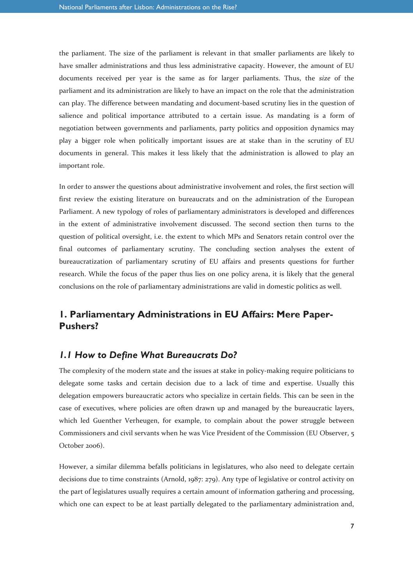the parliament. The size of the parliament is relevant in that smaller parliaments are likely to have smaller administrations and thus less administrative capacity. However, the amount of EU documents received per year is the same as for larger parliaments. Thus, the *size* of the parliament and its administration are likely to have an impact on the role that the administration can play. The difference between mandating and document-based scrutiny lies in the question of salience and political importance attributed to a certain issue. As mandating is a form of negotiation between governments and parliaments, party politics and opposition dynamics may play a bigger role when politically important issues are at stake than in the scrutiny of EU documents in general. This makes it less likely that the administration is allowed to play an important role.

In order to answer the questions about administrative involvement and roles, the first section will first review the existing literature on bureaucrats and on the administration of the European Parliament. A new typology of roles of parliamentary administrators is developed and differences in the extent of administrative involvement discussed. The second section then turns to the question of political oversight, i.e. the extent to which MPs and Senators retain control over the final outcomes of parliamentary scrutiny. The concluding section analyses the extent of bureaucratization of parliamentary scrutiny of EU affairs and presents questions for further research. While the focus of the paper thus lies on one policy arena, it is likely that the general conclusions on the role of parliamentary administrations are valid in domestic politics as well.

# **1. Parliamentary Administrations in EU Affairs: Mere Paper-Pushers?**

#### *1.1 How to Define What Bureaucrats Do?*

The complexity of the modern state and the issues at stake in policy-making require politicians to delegate some tasks and certain decision due to a lack of time and expertise. Usually this delegation empowers bureaucratic actors who specialize in certain fields. This can be seen in the case of executives, where policies are often drawn up and managed by the bureaucratic layers, which led Guenther Verheugen, for example, to complain about the power struggle between Commissioners and civil servants when he was Vice President of the Commission (EU Observer, 5 October 2006).

However, a similar dilemma befalls politicians in legislatures, who also need to delegate certain decisions due to time constraints (Arnold, 1987: 279). Any type of legislative or control activity on the part of legislatures usually requires a certain amount of information gathering and processing, which one can expect to be at least partially delegated to the parliamentary administration and,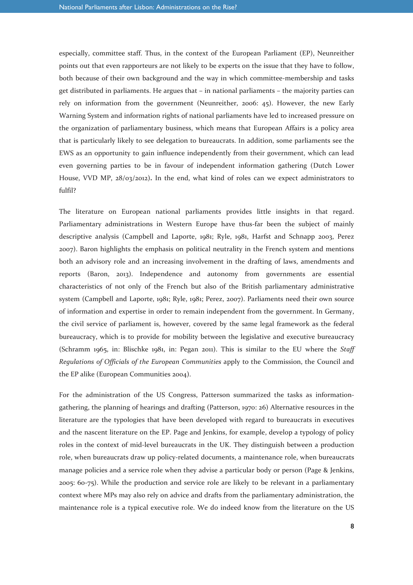especially, committee staff. Thus, in the context of the European Parliament (EP), Neunreither points out that even rapporteurs are not likely to be experts on the issue that they have to follow, both because of their own background and the way in which committee-membership and tasks get distributed in parliaments. He argues that – in national parliaments – the majority parties can rely on information from the government (Neunreither, 2006: 45). However, the new Early Warning System and information rights of national parliaments have led to increased pressure on the organization of parliamentary business, which means that European Affairs is a policy area that is particularly likely to see delegation to bureaucrats. In addition, some parliaments see the EWS as an opportunity to gain influence independently from their government, which can lead even governing parties to be in favour of independent information gathering (Dutch Lower House, VVD MP, 28/03/2012)**.** In the end, what kind of roles can we expect administrators to fulfil?

The literature on European national parliaments provides little insights in that regard. Parliamentary administrations in Western Europe have thus-far been the subject of mainly descriptive analysis (Campbell and Laporte, 1981; Ryle, 1981, Harfst and Schnapp 2003, Perez 2007). Baron highlights the emphasis on political neutrality in the French system and mentions both an advisory role and an increasing involvement in the drafting of laws, amendments and reports (Baron, 2013). Independence and autonomy from governments are essential characteristics of not only of the French but also of the British parliamentary administrative system (Campbell and Laporte, 1981; Ryle, 1981; Perez, 2007). Parliaments need their own source of information and expertise in order to remain independent from the government. In Germany, the civil service of parliament is, however, covered by the same legal framework as the federal bureaucracy, which is to provide for mobility between the legislative and executive bureaucracy (Schramm 1965, in: Blischke 1981, in: Pegan 2011). This is similar to the EU where the *Staff Regulations of Officials of the European Communities* apply to the Commission, the Council and the EP alike (European Communities 2004).

For the administration of the US Congress, Patterson summarized the tasks as informationgathering, the planning of hearings and drafting (Patterson, 1970: 26) Alternative resources in the literature are the typologies that have been developed with regard to bureaucrats in executives and the nascent literature on the EP. Page and Jenkins, for example, develop a typology of policy roles in the context of mid-level bureaucrats in the UK. They distinguish between a production role, when bureaucrats draw up policy-related documents, a maintenance role, when bureaucrats manage policies and a service role when they advise a particular body or person (Page & Jenkins, 2005: 60-75). While the production and service role are likely to be relevant in a parliamentary context where MPs may also rely on advice and drafts from the parliamentary administration, the maintenance role is a typical executive role. We do indeed know from the literature on the US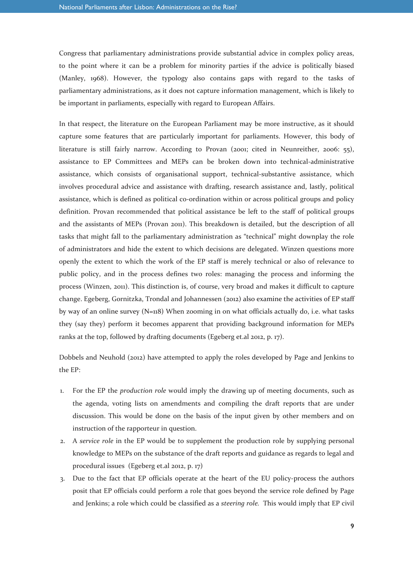Congress that parliamentary administrations provide substantial advice in complex policy areas, to the point where it can be a problem for minority parties if the advice is politically biased (Manley, 1968). However, the typology also contains gaps with regard to the tasks of parliamentary administrations, as it does not capture information management, which is likely to be important in parliaments, especially with regard to European Affairs.

In that respect, the literature on the European Parliament may be more instructive, as it should capture some features that are particularly important for parliaments. However, this body of literature is still fairly narrow. According to Provan (2001; cited in Neunreither, 2006: 55), assistance to EP Committees and MEPs can be broken down into technical-administrative assistance, which consists of organisational support, technical-substantive assistance, which involves procedural advice and assistance with drafting, research assistance and, lastly, political assistance, which is defined as political co-ordination within or across political groups and policy definition. Provan recommended that political assistance be left to the staff of political groups and the assistants of MEPs (Provan 2011). This breakdown is detailed, but the description of all tasks that might fall to the parliamentary administration as "technical" might downplay the role of administrators and hide the extent to which decisions are delegated. Winzen questions more openly the extent to which the work of the EP staff is merely technical or also of relevance to public policy, and in the process defines two roles: managing the process and informing the process (Winzen, 2011). This distinction is, of course, very broad and makes it difficult to capture change. Egeberg, Gornitzka, Trondal and Johannessen (2012) also examine the activities of EP staff by way of an online survey (N=118) When zooming in on what officials actually do, i.e. what tasks they (say they) perform it becomes apparent that providing background information for MEPs ranks at the top, followed by drafting documents (Egeberg et.al 2012, p. 17).

Dobbels and Neuhold (2012) have attempted to apply the roles developed by Page and Jenkins to the EP:

- 1. For the EP the *production role* would imply the drawing up of meeting documents, such as the agenda, voting lists on amendments and compiling the draft reports that are under discussion. This would be done on the basis of the input given by other members and on instruction of the rapporteur in question.
- 2. A *service role* in the EP would be to supplement the production role by supplying personal knowledge to MEPs on the substance of the draft reports and guidance as regards to legal and procedural issues (Egeberg et.al 2012, p. 17)
- 3. Due to the fact that EP officials operate at the heart of the EU policy-process the authors posit that EP officials could perform a role that goes beyond the service role defined by Page and Jenkins; a role which could be classified as a *steering role.* This would imply that EP civil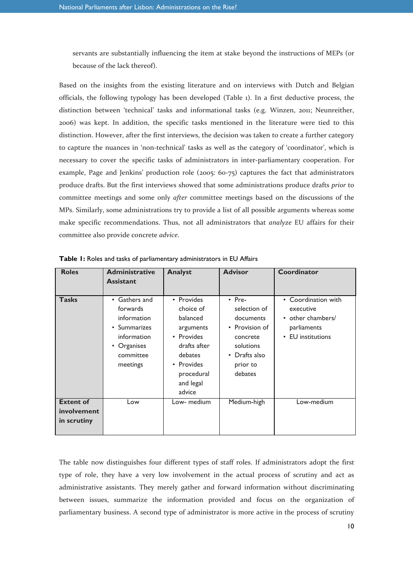servants are substantially influencing the item at stake beyond the instructions of MEPs (or because of the lack thereof).

Based on the insights from the existing literature and on interviews with Dutch and Belgian officials, the following typology has been developed (Table 1). In a first deductive process, the distinction between 'technical' tasks and informational tasks (e.g. Winzen, 2011; Neunreither, 2006) was kept. In addition, the specific tasks mentioned in the literature were tied to this distinction. However, after the first interviews, the decision was taken to create a further category to capture the nuances in 'non-technical' tasks as well as the category of 'coordinator', which is necessary to cover the specific tasks of administrators in inter-parliamentary cooperation. For example, Page and Jenkins' production role (2005: 60-75) captures the fact that administrators produce drafts. But the first interviews showed that some administrations produce drafts *prior* to committee meetings and some only *after* committee meetings based on the discussions of the MPs. Similarly, some administrations try to provide a list of all possible arguments whereas some make specific recommendations. Thus, not all administrators that *analyze* EU affairs for their committee also provide concrete *advice*.

| <b>Roles</b>                                   | <b>Administrative</b><br><b>Assistant</b>                                                                       | <b>Analyst</b>                                                                                                                               | <b>Advisor</b>                                                                                                                          | Coordinator                                                                               |
|------------------------------------------------|-----------------------------------------------------------------------------------------------------------------|----------------------------------------------------------------------------------------------------------------------------------------------|-----------------------------------------------------------------------------------------------------------------------------------------|-------------------------------------------------------------------------------------------|
| <b>Tasks</b>                                   | • Gathers and<br>forwards<br>information<br>• Summarizes<br>information<br>• Organises<br>committee<br>meetings | • Provides<br>choice of<br>balanced<br>arguments<br>• Provides<br>drafts after<br>debates<br>• Provides<br>procedural<br>and legal<br>advice | $\cdot$ Pre-<br>selection of<br>documents<br>• Provision of<br>concrete<br>solutions<br>Drafts also<br>$\bullet$<br>prior to<br>debates | • Coordination with<br>executive<br>• other chambers/<br>parliaments<br>• EU institutions |
| <b>Extent of</b><br>involvement<br>in scrutiny | Low                                                                                                             | Low- medium                                                                                                                                  | Medium-high                                                                                                                             | Low-medium                                                                                |

**Table 1:** Roles and tasks of parliamentary administrators in EU Affairs

The table now distinguishes four different types of staff roles. If administrators adopt the first type of role, they have a very low involvement in the actual process of scrutiny and act as administrative assistants. They merely gather and forward information without discriminating between issues, summarize the information provided and focus on the organization of parliamentary business. A second type of administrator is more active in the process of scrutiny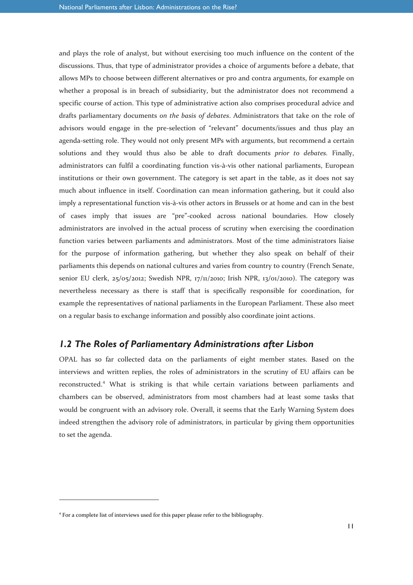and plays the role of analyst, but without exercising too much influence on the content of the discussions. Thus, that type of administrator provides a choice of arguments before a debate, that allows MPs to choose between different alternatives or pro and contra arguments, for example on whether a proposal is in breach of subsidiarity, but the administrator does not recommend a specific course of action. This type of administrative action also comprises procedural advice and drafts parliamentary documents *on the basis of debates*. Administrators that take on the role of advisors would engage in the pre-selection of "relevant" documents/issues and thus play an agenda-setting role. They would not only present MPs with arguments, but recommend a certain solutions and they would thus also be able to draft documents *prior to debates.* Finally, administrators can fulfil a coordinating function vis-à-vis other national parliaments, European institutions or their own government. The category is set apart in the table, as it does not say much about influence in itself. Coordination can mean information gathering, but it could also imply a representational function vis-à-vis other actors in Brussels or at home and can in the best of cases imply that issues are "pre"-cooked across national boundaries. How closely administrators are involved in the actual process of scrutiny when exercising the coordination function varies between parliaments and administrators. Most of the time administrators liaise for the purpose of information gathering, but whether they also speak on behalf of their parliaments this depends on national cultures and varies from country to country (French Senate, senior EU clerk,  $25/2012$ ; Swedish NPR,  $17/11/2010$ ; Irish NPR,  $13/01/2010$ ). The category was nevertheless necessary as there is staff that is specifically responsible for coordination, for example the representatives of national parliaments in the European Parliament. These also meet on a regular basis to exchange information and possibly also coordinate joint actions.

#### *1.2 The Roles of Parliamentary Administrations after Lisbon*

OPAL has so far collected data on the parliaments of eight member states. Based on the interviews and written replies, the roles of administrators in the scrutiny of EU affairs can be reconstructed.<sup>4</sup> What is striking is that while certain variations between parliaments and chambers can be observed, administrators from most chambers had at least some tasks that would be congruent with an advisory role. Overall, it seems that the Early Warning System does indeed strengthen the advisory role of administrators, in particular by giving them opportunities to set the agenda.

l

<sup>4</sup> For a complete list of interviews used for this paper please refer to the bibliography.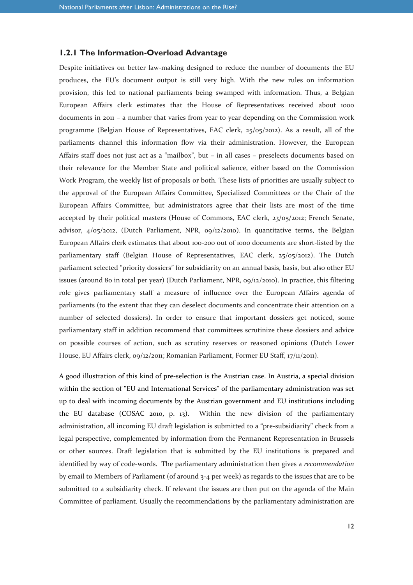#### **1.2.1 The Information-Overload Advantage**

Despite initiatives on better law-making designed to reduce the number of documents the EU produces, the EU's document output is still very high. With the new rules on information provision, this led to national parliaments being swamped with information. Thus, a Belgian European Affairs clerk estimates that the House of Representatives received about 1000 documents in 2011 – a number that varies from year to year depending on the Commission work programme (Belgian House of Representatives, EAC clerk,  $25/05/2012$ ). As a result, all of the parliaments channel this information flow via their administration. However, the European Affairs staff does not just act as a "mailbox", but – in all cases – preselects documents based on their relevance for the Member State and political salience, either based on the Commission Work Program, the weekly list of proposals or both. These lists of priorities are usually subject to the approval of the European Affairs Committee, Specialized Committees or the Chair of the European Affairs Committee, but administrators agree that their lists are most of the time accepted by their political masters (House of Commons, EAC clerk, 23/05/2012; French Senate, advisor, 4/05/2012, (Dutch Parliament, NPR, 09/12/2010). In quantitative terms, the Belgian European Affairs clerk estimates that about 100-200 out of 1000 documents are short-listed by the parliamentary staff (Belgian House of Representatives, EAC clerk, 25/05/2012). The Dutch parliament selected "priority dossiers" for subsidiarity on an annual basis, basis, but also other EU issues (around 80 in total per year) (Dutch Parliament, NPR, 09/12/2010). In practice, this filtering role gives parliamentary staff a measure of influence over the European Affairs agenda of parliaments (to the extent that they can deselect documents and concentrate their attention on a number of selected dossiers). In order to ensure that important dossiers get noticed, some parliamentary staff in addition recommend that committees scrutinize these dossiers and advice on possible courses of action, such as scrutiny reserves or reasoned opinions (Dutch Lower House, EU Affairs clerk, 09/12/2011; Romanian Parliament, Former EU Staff, 17/11/2011).

A good illustration of this kind of pre-selection is the Austrian case. In Austria, a special division within the section of "EU and International Services" of the parliamentary administration was set up to deal with incoming documents by the Austrian government and EU institutions including the EU database (COSAC 2010, p. 13). Within the new division of the parliamentary administration, all incoming EU draft legislation is submitted to a "pre-subsidiarity" check from a legal perspective, complemented by information from the Permanent Representation in Brussels or other sources. Draft legislation that is submitted by the EU institutions is prepared and identified by way of code-words. The parliamentary administration then gives a *recommendation* by email to Members of Parliament (of around 3-4 per week) as regards to the issues that are to be submitted to a subsidiarity check. If relevant the issues are then put on the agenda of the Main Committee of parliament. Usually the recommendations by the parliamentary administration are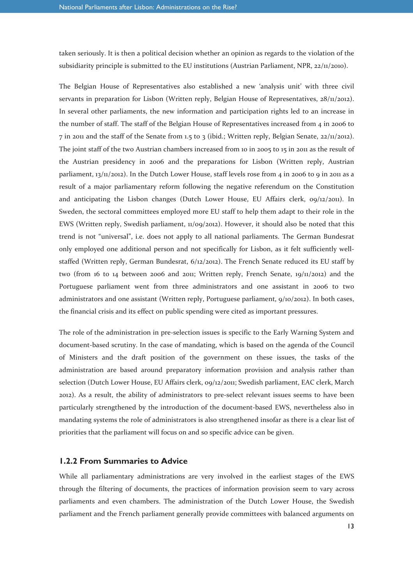taken seriously. It is then a political decision whether an opinion as regards to the violation of the subsidiarity principle is submitted to the EU institutions (Austrian Parliament, NPR,  $22/11/2010$ ).

The Belgian House of Representatives also established a new 'analysis unit' with three civil servants in preparation for Lisbon (Written reply, Belgian House of Representatives, 28/11/2012). In several other parliaments, the new information and participation rights led to an increase in the number of staff. The staff of the Belgian House of Representatives increased from  $4$  in 2006 to 7 in 2011 and the staff of the Senate from 1.5 to 3 (ibid.; Written reply, Belgian Senate,  $22/11/2012$ ). The joint staff of the two Austrian chambers increased from 10 in 2005 to 15 in 2011 as the result of the Austrian presidency in 2006 and the preparations for Lisbon (Written reply, Austrian parliament,  $13/11/2012$ ). In the Dutch Lower House, staff levels rose from 4 in 2006 to 9 in 2011 as a result of a major parliamentary reform following the negative referendum on the Constitution and anticipating the Lisbon changes (Dutch Lower House, EU Affairs clerk, 09/12/2011). In Sweden, the sectoral committees employed more EU staff to help them adapt to their role in the EWS (Written reply, Swedish parliament, 11/09/2012). However, it should also be noted that this trend is not "universal", i.e. does not apply to all national parliaments. The German Bundesrat only employed one additional person and not specifically for Lisbon, as it felt sufficiently wellstaffed (Written reply, German Bundesrat, 6/12/2012). The French Senate reduced its EU staff by two (from 16 to 14 between 2006 and 2011; Written reply, French Senate, 19/11/2012) and the Portuguese parliament went from three administrators and one assistant in 2006 to two administrators and one assistant (Written reply, Portuguese parliament, 9/10/2012). In both cases, the financial crisis and its effect on public spending were cited as important pressures.

The role of the administration in pre-selection issues is specific to the Early Warning System and document-based scrutiny. In the case of mandating, which is based on the agenda of the Council of Ministers and the draft position of the government on these issues, the tasks of the administration are based around preparatory information provision and analysis rather than selection (Dutch Lower House, EU Affairs clerk, 09/12/2011; Swedish parliament, EAC clerk, March 2012). As a result, the ability of administrators to pre-select relevant issues seems to have been particularly strengthened by the introduction of the document-based EWS, nevertheless also in mandating systems the role of administrators is also strengthened insofar as there is a clear list of priorities that the parliament will focus on and so specific advice can be given.

#### **1.2.2 From Summaries to Advice**

While all parliamentary administrations are very involved in the earliest stages of the EWS through the filtering of documents, the practices of information provision seem to vary across parliaments and even chambers. The administration of the Dutch Lower House, the Swedish parliament and the French parliament generally provide committees with balanced arguments on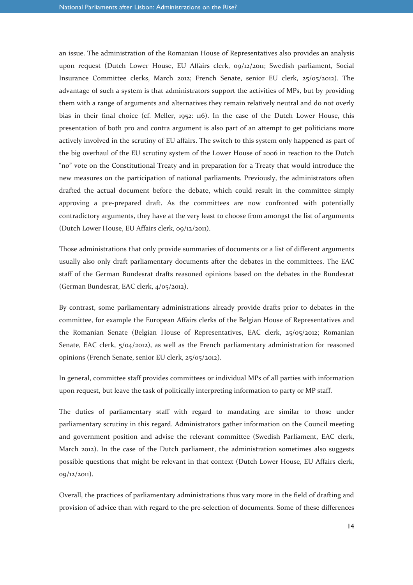an issue. The administration of the Romanian House of Representatives also provides an analysis upon request (Dutch Lower House, EU Affairs clerk, 09/12/2011; Swedish parliament, Social Insurance Committee clerks, March 2012; French Senate, senior EU clerk, 25/05/2012). The advantage of such a system is that administrators support the activities of MPs, but by providing them with a range of arguments and alternatives they remain relatively neutral and do not overly bias in their final choice (cf. Meller, 1952: 116). In the case of the Dutch Lower House, this presentation of both pro and contra argument is also part of an attempt to get politicians more actively involved in the scrutiny of EU affairs. The switch to this system only happened as part of the big overhaul of the EU scrutiny system of the Lower House of 2006 in reaction to the Dutch "no" vote on the Constitutional Treaty and in preparation for a Treaty that would introduce the new measures on the participation of national parliaments. Previously, the administrators often drafted the actual document before the debate, which could result in the committee simply approving a pre-prepared draft. As the committees are now confronted with potentially contradictory arguments, they have at the very least to choose from amongst the list of arguments (Dutch Lower House, EU Affairs clerk, 09/12/2011).

Those administrations that only provide summaries of documents or a list of different arguments usually also only draft parliamentary documents after the debates in the committees. The EAC staff of the German Bundesrat drafts reasoned opinions based on the debates in the Bundesrat (German Bundesrat, EAC clerk, 4/05/2012).

By contrast, some parliamentary administrations already provide drafts prior to debates in the committee, for example the European Affairs clerks of the Belgian House of Representatives and the Romanian Senate (Belgian House of Representatives, EAC clerk, 25/05/2012; Romanian Senate, EAC clerk, 5/04/2012), as well as the French parliamentary administration for reasoned opinions (French Senate, senior EU clerk, 25/05/2012).

In general, committee staff provides committees or individual MPs of all parties with information upon request, but leave the task of politically interpreting information to party or MP staff.

The duties of parliamentary staff with regard to mandating are similar to those under parliamentary scrutiny in this regard. Administrators gather information on the Council meeting and government position and advise the relevant committee (Swedish Parliament, EAC clerk, March 2012). In the case of the Dutch parliament, the administration sometimes also suggests possible questions that might be relevant in that context (Dutch Lower House, EU Affairs clerk, 09/12/2011).

Overall, the practices of parliamentary administrations thus vary more in the field of drafting and provision of advice than with regard to the pre-selection of documents. Some of these differences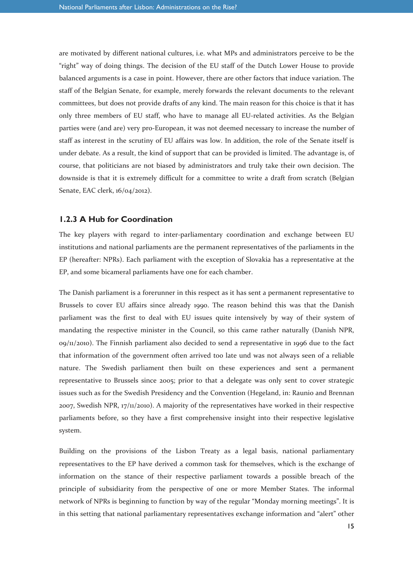are motivated by different national cultures, i.e. what MPs and administrators perceive to be the "right" way of doing things. The decision of the EU staff of the Dutch Lower House to provide balanced arguments is a case in point. However, there are other factors that induce variation. The staff of the Belgian Senate, for example, merely forwards the relevant documents to the relevant committees, but does not provide drafts of any kind. The main reason for this choice is that it has only three members of EU staff, who have to manage all EU-related activities. As the Belgian parties were (and are) very pro-European, it was not deemed necessary to increase the number of staff as interest in the scrutiny of EU affairs was low. In addition, the role of the Senate itself is under debate. As a result, the kind of support that can be provided is limited. The advantage is, of course, that politicians are not biased by administrators and truly take their own decision. The downside is that it is extremely difficult for a committee to write a draft from scratch (Belgian Senate, EAC clerk, 16/04/2012).

#### **1.2.3 A Hub for Coordination**

The key players with regard to inter-parliamentary coordination and exchange between EU institutions and national parliaments are the permanent representatives of the parliaments in the EP (hereafter: NPRs). Each parliament with the exception of Slovakia has a representative at the EP, and some bicameral parliaments have one for each chamber.

The Danish parliament is a forerunner in this respect as it has sent a permanent representative to Brussels to cover EU affairs since already 1990. The reason behind this was that the Danish parliament was the first to deal with EU issues quite intensively by way of their system of mandating the respective minister in the Council, so this came rather naturally (Danish NPR,  $0.9/11/2010$ . The Finnish parliament also decided to send a representative in 1996 due to the fact that information of the government often arrived too late und was not always seen of a reliable nature. The Swedish parliament then built on these experiences and sent a permanent representative to Brussels since 2005; prior to that a delegate was only sent to cover strategic issues such as for the Swedish Presidency and the Convention (Hegeland, in: Raunio and Brennan 2007, Swedish NPR, 17/11/2010). A majority of the representatives have worked in their respective parliaments before, so they have a first comprehensive insight into their respective legislative system.

Building on the provisions of the Lisbon Treaty as a legal basis, national parliamentary representatives to the EP have derived a common task for themselves, which is the exchange of information on the stance of their respective parliament towards a possible breach of the principle of subsidiarity from the perspective of one or more Member States. The informal network of NPRs is beginning to function by way of the regular "Monday morning meetings". It is in this setting that national parliamentary representatives exchange information and "alert" other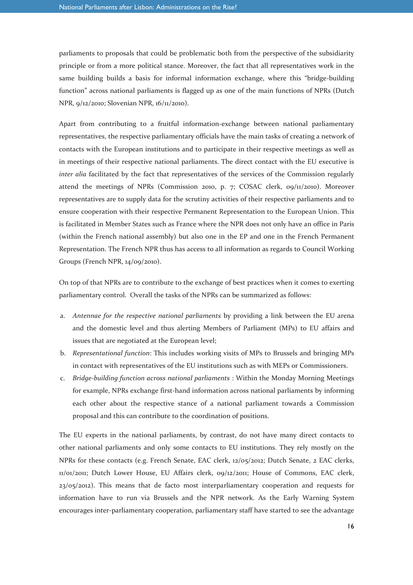parliaments to proposals that could be problematic both from the perspective of the subsidiarity principle or from a more political stance. Moreover, the fact that all representatives work in the same building builds a basis for informal information exchange, where this "bridge-building function" across national parliaments is flagged up as one of the main functions of NPRs (Dutch NPR, 9/12/2010; Slovenian NPR, 16/11/2010).

Apart from contributing to a fruitful information-exchange between national parliamentary representatives, the respective parliamentary officials have the main tasks of creating a network of contacts with the European institutions and to participate in their respective meetings as well as in meetings of their respective national parliaments. The direct contact with the EU executive is *inter alia* facilitated by the fact that representatives of the services of the Commission regularly attend the meetings of NPRs (Commission 2010, p. 7; COSAC clerk,  $\frac{9}{12}$ 2010). Moreover representatives are to supply data for the scrutiny activities of their respective parliaments and to ensure cooperation with their respective Permanent Representation to the European Union. This is facilitated in Member States such as France where the NPR does not only have an office in Paris (within the French national assembly) but also one in the EP and one in the French Permanent Representation. The French NPR thus has access to all information as regards to Council Working Groups (French NPR, 14/09/2010).

On top of that NPRs are to contribute to the exchange of best practices when it comes to exerting parliamentary control. Overall the tasks of the NPRs can be summarized as follows:

- a. *Antennae for the respective national parliaments* by providing a link between the EU arena and the domestic level and thus alerting Members of Parliament (MPs) to EU affairs and issues that are negotiated at the European level;
- b. *Representational function*: This includes working visits of MPs to Brussels and bringing MPs in contact with representatives of the EU institutions such as with MEPs or Commissioners.
- c. *Bridge-building function across national parliaments* : Within the Monday Morning Meetings for example, NPRs exchange first-hand information across national parliaments by informing each other about the respective stance of a national parliament towards a Commission proposal and this can contribute to the coordination of positions.

The EU experts in the national parliaments, by contrast, do not have many direct contacts to other national parliaments and only some contacts to EU institutions. They rely mostly on the NPRs for these contacts (e.g. French Senate, EAC clerk, 12/05/2012; Dutch Senate, 2 EAC clerks, 11/01/2011; Dutch Lower House, EU Affairs clerk, 09/12/2011; House of Commons, EAC clerk,  $23/05/2012$ ). This means that de facto most interparliamentary cooperation and requests for information have to run via Brussels and the NPR network. As the Early Warning System encourages inter-parliamentary cooperation, parliamentary staff have started to see the advantage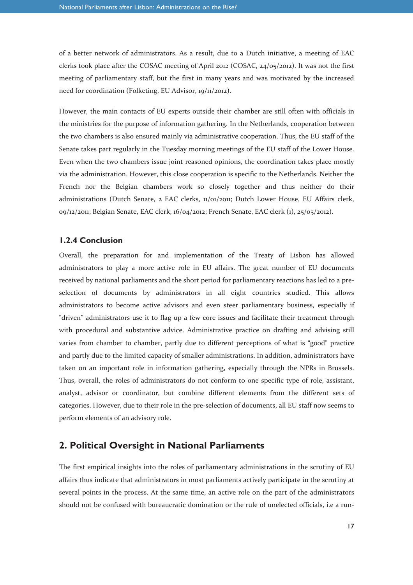of a better network of administrators. As a result, due to a Dutch initiative, a meeting of EAC clerks took place after the COSAC meeting of April 2012 (COSAC, 24/05/2012). It was not the first meeting of parliamentary staff, but the first in many years and was motivated by the increased need for coordination (Folketing, EU Advisor, 19/11/2012).

However, the main contacts of EU experts outside their chamber are still often with officials in the ministries for the purpose of information gathering. In the Netherlands, cooperation between the two chambers is also ensured mainly via administrative cooperation. Thus, the EU staff of the Senate takes part regularly in the Tuesday morning meetings of the EU staff of the Lower House. Even when the two chambers issue joint reasoned opinions, the coordination takes place mostly via the administration. However, this close cooperation is specific to the Netherlands. Neither the French nor the Belgian chambers work so closely together and thus neither do their administrations (Dutch Senate, 2 EAC clerks, 11/01/2011; Dutch Lower House, EU Affairs clerk, 09/12/2011; Belgian Senate, EAC clerk, 16/04/2012; French Senate, EAC clerk (1), 25/05/2012).

#### **1.2.4 Conclusion**

Overall, the preparation for and implementation of the Treaty of Lisbon has allowed administrators to play a more active role in EU affairs. The great number of EU documents received by national parliaments and the short period for parliamentary reactions has led to a preselection of documents by administrators in all eight countries studied. This allows administrators to become active advisors and even steer parliamentary business, especially if "driven" administrators use it to flag up a few core issues and facilitate their treatment through with procedural and substantive advice. Administrative practice on drafting and advising still varies from chamber to chamber, partly due to different perceptions of what is "good" practice and partly due to the limited capacity of smaller administrations. In addition, administrators have taken on an important role in information gathering, especially through the NPRs in Brussels. Thus, overall, the roles of administrators do not conform to one specific type of role, assistant, analyst, advisor or coordinator, but combine different elements from the different sets of categories. However, due to their role in the pre-selection of documents, all EU staff now seems to perform elements of an advisory role.

### **2. Political Oversight in National Parliaments**

The first empirical insights into the roles of parliamentary administrations in the scrutiny of EU affairs thus indicate that administrators in most parliaments actively participate in the scrutiny at several points in the process. At the same time, an active role on the part of the administrators should not be confused with bureaucratic domination or the rule of unelected officials, i.e a run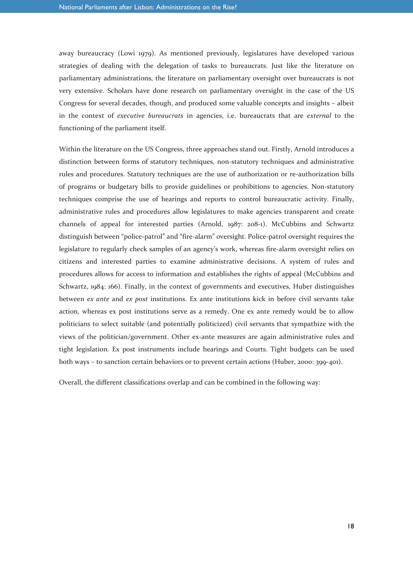away bureaucracy (Lowi 1979). As mentioned previously, legislatures have developed various strategies of dealing with the delegation of tasks to bureaucrats. Just like the literature on parliamentary administrations, the literature on parliamentary oversight over bureaucrats is not very extensive. Scholars have done research on parliamentary oversight in the case of the US Congress for several decades, though, and produced some valuable concepts and insights – albeit in the context of *executive bureaucrats* in agencies, i.e. bureaucrats that are *external* to the functioning of the parliament itself.

Within the literature on the US Congress, three approaches stand out. Firstly, Arnold introduces a distinction between forms of statutory techniques, non-statutory techniques and administrative rules and procedures. Statutory techniques are the use of authorization or re-authorization bills of programs or budgetary bills to provide guidelines or prohibitions to agencies. Non-statutory techniques comprise the use of hearings and reports to control bureaucratic activity. Finally, administrative rules and procedures allow legislatures to make agencies transparent and create channels of appeal for interested parties (Arnold, 1987: 208-1). McCubbins and Schwartz distinguish between "police-patrol" and "fire-alarm" oversight. Police-patrol oversight requires the legislature to regularly check samples of an agency's work, whereas fire-alarm oversight relies on citizens and interested parties to examine administrative decisions. A system of rules and procedures allows for access to information and establishes the rights of appeal (McCubbins and Schwartz, 1984: 166). Finally, in the context of governments and executives, Huber distinguishes between *ex ante* and *ex post* institutions. Ex ante institutions kick in before civil servants take action, whereas ex post institutions serve as a remedy. One ex ante remedy would be to allow politicians to select suitable (and potentially politicized) civil servants that sympathize with the views of the politician/government. Other ex-ante measures are again administrative rules and tight legislation. Ex post instruments include hearings and Courts. Tight budgets can be used both ways – to sanction certain behaviors or to prevent certain actions (Huber, 2000: 399-401).

Overall, the different classifications overlap and can be combined in the following way: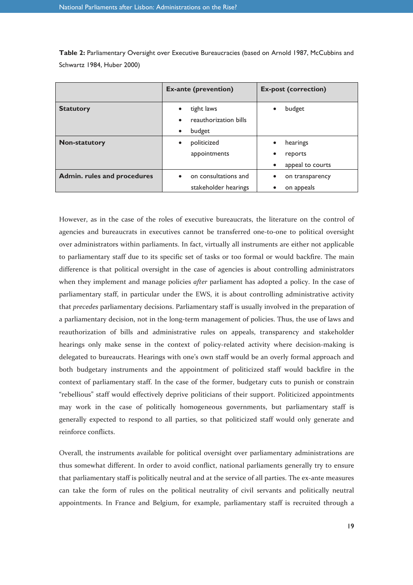|                             | <b>Ex-ante (prevention)</b>        | <b>Ex-post (correction)</b> |
|-----------------------------|------------------------------------|-----------------------------|
| <b>Statutory</b>            | tight laws<br>$\bullet$            | budget                      |
|                             | reauthorization bills<br>$\bullet$ |                             |
|                             | budget<br>$\bullet$                |                             |
| <b>Non-statutory</b>        | politicized<br>$\bullet$           | hearings                    |
|                             | appointments                       | reports                     |
|                             |                                    | appeal to courts            |
| Admin. rules and procedures | on consultations and<br>$\bullet$  | on transparency             |
|                             | stakeholder hearings               | on appeals<br>$\bullet$     |

**Table 2:** Parliamentary Oversight over Executive Bureaucracies (based on Arnold 1987, McCubbins and Schwartz 1984, Huber 2000)

However, as in the case of the roles of executive bureaucrats, the literature on the control of agencies and bureaucrats in executives cannot be transferred one-to-one to political oversight over administrators within parliaments. In fact, virtually all instruments are either not applicable to parliamentary staff due to its specific set of tasks or too formal or would backfire. The main difference is that political oversight in the case of agencies is about controlling administrators when they implement and manage policies *after* parliament has adopted a policy. In the case of parliamentary staff, in particular under the EWS, it is about controlling administrative activity that *precedes* parliamentary decisions. Parliamentary staff is usually involved in the preparation of a parliamentary decision, not in the long-term management of policies. Thus, the use of laws and reauthorization of bills and administrative rules on appeals, transparency and stakeholder hearings only make sense in the context of policy-related activity where decision-making is delegated to bureaucrats. Hearings with one's own staff would be an overly formal approach and both budgetary instruments and the appointment of politicized staff would backfire in the context of parliamentary staff. In the case of the former, budgetary cuts to punish or constrain "rebellious" staff would effectively deprive politicians of their support. Politicized appointments may work in the case of politically homogeneous governments, but parliamentary staff is generally expected to respond to all parties, so that politicized staff would only generate and reinforce conflicts.

Overall, the instruments available for political oversight over parliamentary administrations are thus somewhat different. In order to avoid conflict, national parliaments generally try to ensure that parliamentary staff is politically neutral and at the service of all parties. The ex-ante measures can take the form of rules on the political neutrality of civil servants and politically neutral appointments. In France and Belgium, for example, parliamentary staff is recruited through a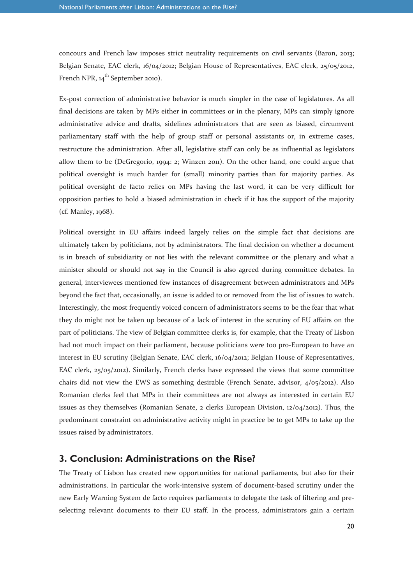concours and French law imposes strict neutrality requirements on civil servants (Baron, 2013; Belgian Senate, EAC clerk, 16/04/2012; Belgian House of Representatives, EAC clerk, 25/05/2012, French NPR,  $14^{th}$  September 2010).

Ex-post correction of administrative behavior is much simpler in the case of legislatures. As all final decisions are taken by MPs either in committees or in the plenary, MPs can simply ignore administrative advice and drafts, sidelines administrators that are seen as biased, circumvent parliamentary staff with the help of group staff or personal assistants or, in extreme cases, restructure the administration. After all, legislative staff can only be as influential as legislators allow them to be (DeGregorio, 1994: 2; Winzen 2011). On the other hand, one could argue that political oversight is much harder for (small) minority parties than for majority parties. As political oversight de facto relies on MPs having the last word, it can be very difficult for opposition parties to hold a biased administration in check if it has the support of the majority (cf. Manley, 1968).

Political oversight in EU affairs indeed largely relies on the simple fact that decisions are ultimately taken by politicians, not by administrators. The final decision on whether a document is in breach of subsidiarity or not lies with the relevant committee or the plenary and what a minister should or should not say in the Council is also agreed during committee debates. In general, interviewees mentioned few instances of disagreement between administrators and MPs beyond the fact that, occasionally, an issue is added to or removed from the list of issues to watch. Interestingly, the most frequently voiced concern of administrators seems to be the fear that what they do might not be taken up because of a lack of interest in the scrutiny of EU affairs on the part of politicians. The view of Belgian committee clerks is, for example, that the Treaty of Lisbon had not much impact on their parliament, because politicians were too pro-European to have an interest in EU scrutiny (Belgian Senate, EAC clerk, 16/04/2012; Belgian House of Representatives, EAC clerk, 25/05/2012). Similarly, French clerks have expressed the views that some committee chairs did not view the EWS as something desirable (French Senate, advisor, 4/05/2012). Also Romanian clerks feel that MPs in their committees are not always as interested in certain EU issues as they themselves (Romanian Senate, 2 clerks European Division, 12/04/2012). Thus, the predominant constraint on administrative activity might in practice be to get MPs to take up the issues raised by administrators.

#### **3. Conclusion: Administrations on the Rise?**

The Treaty of Lisbon has created new opportunities for national parliaments, but also for their administrations. In particular the work-intensive system of document-based scrutiny under the new Early Warning System de facto requires parliaments to delegate the task of filtering and preselecting relevant documents to their EU staff. In the process, administrators gain a certain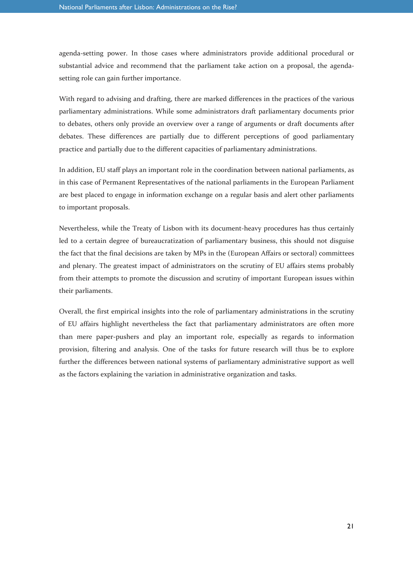agenda-setting power. In those cases where administrators provide additional procedural or substantial advice and recommend that the parliament take action on a proposal, the agendasetting role can gain further importance.

With regard to advising and drafting, there are marked differences in the practices of the various parliamentary administrations. While some administrators draft parliamentary documents prior to debates, others only provide an overview over a range of arguments or draft documents after debates. These differences are partially due to different perceptions of good parliamentary practice and partially due to the different capacities of parliamentary administrations.

In addition, EU staff plays an important role in the coordination between national parliaments, as in this case of Permanent Representatives of the national parliaments in the European Parliament are best placed to engage in information exchange on a regular basis and alert other parliaments to important proposals.

Nevertheless, while the Treaty of Lisbon with its document-heavy procedures has thus certainly led to a certain degree of bureaucratization of parliamentary business, this should not disguise the fact that the final decisions are taken by MPs in the (European Affairs or sectoral) committees and plenary. The greatest impact of administrators on the scrutiny of EU affairs stems probably from their attempts to promote the discussion and scrutiny of important European issues within their parliaments.

Overall, the first empirical insights into the role of parliamentary administrations in the scrutiny of EU affairs highlight nevertheless the fact that parliamentary administrators are often more than mere paper-pushers and play an important role, especially as regards to information provision, filtering and analysis. One of the tasks for future research will thus be to explore further the differences between national systems of parliamentary administrative support as well as the factors explaining the variation in administrative organization and tasks.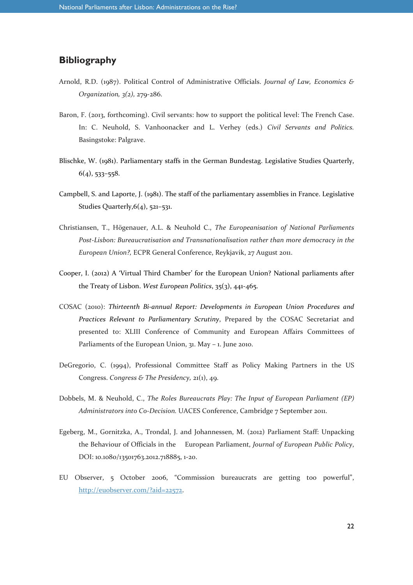# **Bibliography**

- Arnold, R.D. (1987). Political Control of Administrative Officials. *Journal of Law, Economics & Organization, 3(2),* 279-286.
- Baron, F. (2013, forthcoming). Civil servants: how to support the political level: The French Case. In: C. Neuhold, S. Vanhoonacker and L. Verhey (eds.) *Civil Servants and Politics.* Basingstoke: Palgrave.
- Blischke, W. (1981). Parliamentary staffs in the German Bundestag. Legislative Studies Quarterly,  $6(4)$ , 533–558.
- Campbell, S. and Laporte, J. (1981). The staff of the parliamentary assemblies in France. Legislative Studies Quarterly, 6(4), 521-531.
- Christiansen, T., Högenauer, A.L. & Neuhold C., *The Europeanisation of National Parliaments Post-Lisbon: Bureaucratisation and Transnationalisation rather than more democracy in the European Union?,* ECPR General Conference, Reykjavik, 27 August 2011.
- Cooper, I. (2012) A 'Virtual Third Chamber' for the European Union? National parliaments after the Treaty of Lisbon. *West European Politics*, 35(3), 441-465.
- COSAC (2010): *Thirteenth Bi-annual Report: Developments in European Union Procedures and Practices Relevant to Parliamentary Scrutiny*, Prepared by the COSAC Secretariat and presented to: XLIII Conference of Community and European Affairs Committees of Parliaments of the European Union, 31. May – 1. June 2010.
- DeGregorio, C. (1994), Professional Committee Staff as Policy Making Partners in the US Congress. *Congress & The Presidency,* 21(1), 49.
- Dobbels, M. & Neuhold, C., *The Roles Bureaucrats Play: The Input of European Parliament (EP) Administrators into Co-Decision.* UACES Conference, Cambridge 7 September 2011.
- Egeberg, M., Gornitzka, A., Trondal, J. and Johannessen, M. (2012) Parliament Staff: Unpacking the Behaviour of Officials in the European Parliament, *Journal of European Public Policy*, DOI: 10.1080/13501763.2012.718885, 1-20.
- EU Observer, 5 October 2006, "Commission bureaucrats are getting too powerful", http://euobserver.com/?aid=22572.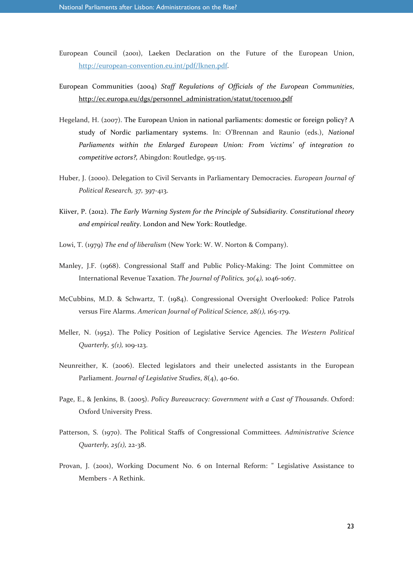- European Council (2001), Laeken Declaration on the Future of the European Union, http://european-convention.eu.int/pdf/lknen.pdf.
- European Communities (2004) *Staff Regulations of Officials of the European Communities*, http://ec.europa.eu/dgs/personnel\_administration/statut/tocen100.pdf
- Hegeland, H. (2007). The European Union in national parliaments: domestic or foreign policy? A study of Nordic parliamentary systems. In: O'Brennan and Raunio (eds.), *National Parliaments within the Enlarged European Union: From 'victims' of integration to competitive actors?,* Abingdon: Routledge, 95-115.
- Huber, J. (2000). Delegation to Civil Servants in Parliamentary Democracies. *European Journal of Political Research, 37,* 397-413.
- Kiiver, P. (2012). *The Early Warning System for the Principle of Subsidiarity. Constitutional theory and empirical reality*. London and New York: Routledge.
- Lowi, T. (1979) *The end of liberalism* (New York: W. W. Norton & Company).
- Manley, J.F. (1968). Congressional Staff and Public Policy-Making: The Joint Committee on International Revenue Taxation. *The Journal of Politics, 30(4),* 1046-1067.
- McCubbins, M.D. & Schwartz, T. (1984). Congressional Oversight Overlooked: Police Patrols versus Fire Alarms. *American Journal of Political Science, 28(1),* 165-179.
- Meller, N. (1952). The Policy Position of Legislative Service Agencies. *The Western Political Quarterly, 5(1),* 109-123.
- Neunreither, K. (2006). Elected legislators and their unelected assistants in the European Parliament. *Journal of Legislative Studies*, *8*(4), 40-60.
- Page, E., & Jenkins, B. (2005). *Policy Bureaucracy: Government with a Cast of Thousands*. Oxford: Oxford University Press.
- Patterson, S. (1970). The Political Staffs of Congressional Committees. *Administrative Science Quarterly, 25(1),* 22-38.
- Provan, J. (2001), Working Document No. 6 on Internal Reform: " Legislative Assistance to Members - A Rethink.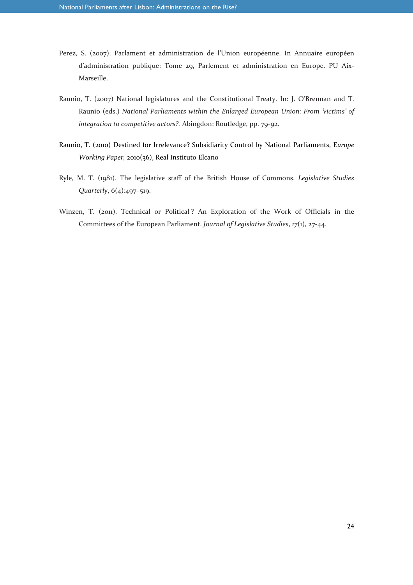- Perez, S. (2007). Parlament et administration de l'Union européenne. In Annuaire européen d'administration publique: Tome 29, Parlement et administration en Europe. PU Aix-Marseille.
- Raunio, T. (2007) National legislatures and the Constitutional Treaty. In: J. O'Brennan and T. Raunio (eds.) *National Parliaments within the Enlarged European Union: From 'victims' of integration to competitive actors?.* Abingdon: Routledge, pp. 79-92.
- Raunio, T. (2010) Destined for Irrelevance? Subsidiarity Control by National Parliaments, E*urope Working Paper,* 2010(36), Real Instituto Elcano
- Ryle, M. T. (1981). The legislative staff of the British House of Commons. *Legislative Studies Quarterly*, 6(4):497–519.
- Winzen, T. (2011). Technical or Political ? An Exploration of the Work of Officials in the Committees of the European Parliament. *Journal of Legislative Studies*, *17*(1), 27-44.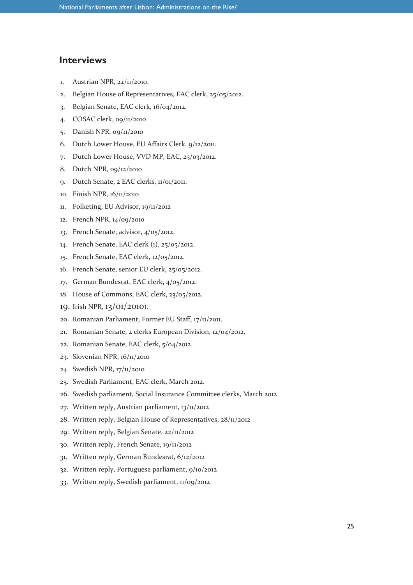## **Interviews**

- 1. Austrian NPR, 22/11/2010.
- 2. Belgian House of Representatives, EAC clerk, 25/05/2012.
- 3. Belgian Senate, EAC clerk, 16/04/2012.
- 4. COSAC clerk, 09/11/2010
- 5. Danish NPR, 09/11/2010
- 6. Dutch Lower House, EU Affairs Clerk, 9/12/2011.
- 7. Dutch Lower House, VVD MP, EAC, 23/03/2012.
- 8. Dutch NPR, 09/12/2010
- 9. Dutch Senate, 2 EAC clerks, 11/01/2011.
- 10. Finish NPR, 16/11/2010
- 11. Folketing, EU Advisor, 19/11/2012
- 12. French NPR, 14/09/2010
- 13. French Senate, advisor, 4/05/2012.
- 14. French Senate, EAC clerk (1), 25/05/2012.
- 15. French Senate, EAC clerk, 12/05/2012.
- 16. French Senate, senior EU clerk, 25/05/2012.
- 17. German Bundesrat, EAC clerk, 4/05/2012.
- 18. House of Commons, EAC clerk, 23/05/2012.
- 19. Irish NPR, 13/01/2010).
- 20. Romanian Parliament, Former EU Staff, 17/11/2011.
- 21. Romanian Senate, 2 clerks European Division, 12/04/2012.
- 22. Romanian Senate, EAC clerk, 5/04/2012.
- 23. Slovenian NPR, 16/11/2010
- 24. Swedish NPR, 17/11/2010
- 25. Swedish Parliament, EAC clerk, March 2012.
- 26. Swedish parliament, Social Insurance Committee clerks, March 2012
- 27. Written reply, Austrian parliament, 13/11/2012
- 28. Written reply, Belgian House of Representatives, 28/11/2012
- 29. Written reply, Belgian Senate, 22/11/2012
- 30. Written reply, French Senate, 19/11/2012
- 31. Written reply, German Bundesrat, 6/12/2012
- 32. Written reply, Portuguese parliament, 9/10/2012
- 33. Written reply, Swedish parliament, 11/09/2012